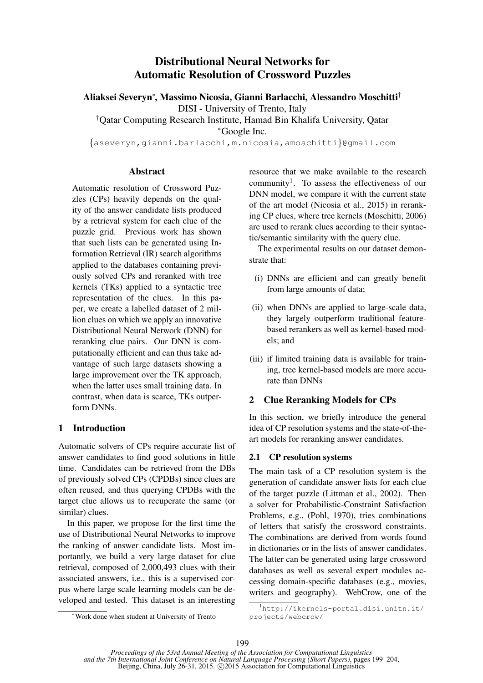# Distributional Neural Networks for Automatic Resolution of Crossword Puzzles

Aliaksei Severyn<sup>∗</sup> , Massimo Nicosia, Gianni Barlacchi, Alessandro Moschitti†

DISI - University of Trento, Italy

†Qatar Computing Research Institute, Hamad Bin Khalifa University, Qatar <sup>∗</sup>Google Inc.

{aseveryn,gianni.barlacchi,m.nicosia,amoschitti}@gmail.com

## **Abstract**

Automatic resolution of Crossword Puzzles (CPs) heavily depends on the quality of the answer candidate lists produced by a retrieval system for each clue of the puzzle grid. Previous work has shown that such lists can be generated using Information Retrieval (IR) search algorithms applied to the databases containing previously solved CPs and reranked with tree kernels (TKs) applied to a syntactic tree representation of the clues. In this paper, we create a labelled dataset of 2 million clues on which we apply an innovative Distributional Neural Network (DNN) for reranking clue pairs. Our DNN is computationally efficient and can thus take advantage of such large datasets showing a large improvement over the TK approach, when the latter uses small training data. In contrast, when data is scarce, TKs outperform DNNs.

## 1 Introduction

Automatic solvers of CPs require accurate list of answer candidates to find good solutions in little time. Candidates can be retrieved from the DBs of previously solved CPs (CPDBs) since clues are often reused, and thus querying CPDBs with the target clue allows us to recuperate the same (or similar) clues.

In this paper, we propose for the first time the use of Distributional Neural Networks to improve the ranking of answer candidate lists. Most importantly, we build a very large dataset for clue retrieval, composed of 2,000,493 clues with their associated answers, i.e., this is a supervised corpus where large scale learning models can be developed and tested. This dataset is an interesting

<sup>∗</sup>Work done when student at University of Trento

resource that we make available to the research community<sup>1</sup>. To assess the effectiveness of our DNN model, we compare it with the current state of the art model (Nicosia et al., 2015) in reranking CP clues, where tree kernels (Moschitti, 2006) are used to rerank clues according to their syntactic/semantic similarity with the query clue.

The experimental results on our dataset demonstrate that:

- (i) DNNs are efficient and can greatly benefit from large amounts of data;
- (ii) when DNNs are applied to large-scale data, they largely outperform traditional featurebased rerankers as well as kernel-based models; and
- (iii) if limited training data is available for training, tree kernel-based models are more accurate than DNNs

## 2 Clue Reranking Models for CPs

In this section, we briefly introduce the general idea of CP resolution systems and the state-of-theart models for reranking answer candidates.

## 2.1 CP resolution systems

The main task of a CP resolution system is the generation of candidate answer lists for each clue of the target puzzle (Littman et al., 2002). Then a solver for Probabilistic-Constraint Satisfaction Problems, e.g., (Pohl, 1970), tries combinations of letters that satisfy the crossword constraints. The combinations are derived from words found in dictionaries or in the lists of answer candidates. The latter can be generated using large crossword databases as well as several expert modules accessing domain-specific databases (e.g., movies, writers and geography). WebCrow, one of the

<sup>1</sup>http://ikernels-portal.disi.unitn.it/ projects/webcrow/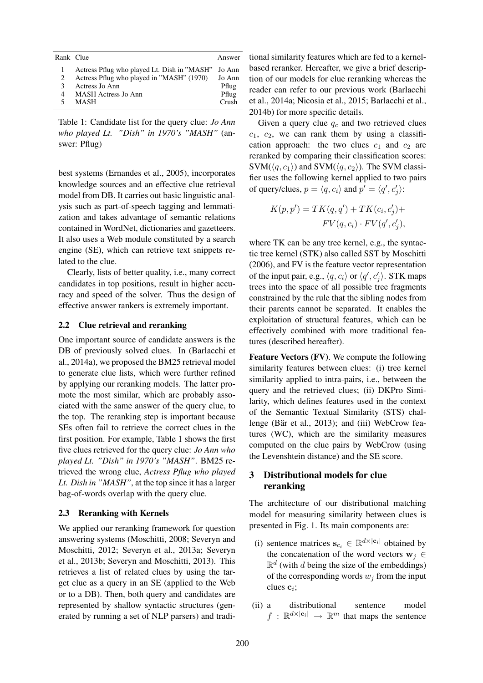| Rank Clue      |                                             | Answer   |
|----------------|---------------------------------------------|----------|
|                | Actress Pflug who played Lt. Dish in "MASH" | Jo Ann   |
| $\mathfrak{D}$ | Actress Pflug who played in "MASH" (1970)   | Jo Ann   |
| κ              | Actress Jo Ann                              | Pflug    |
| 4              | MASH Actress Jo Ann                         | Pflug    |
|                | MASH                                        | $C$ rush |

Table 1: Candidate list for the query clue: *Jo Ann who played Lt. "Dish" in 1970's "MASH"* (answer: Pflug)

best systems (Ernandes et al., 2005), incorporates knowledge sources and an effective clue retrieval model from DB. It carries out basic linguistic analysis such as part-of-speech tagging and lemmatization and takes advantage of semantic relations contained in WordNet, dictionaries and gazetteers. It also uses a Web module constituted by a search engine (SE), which can retrieve text snippets related to the clue.

Clearly, lists of better quality, i.e., many correct candidates in top positions, result in higher accuracy and speed of the solver. Thus the design of effective answer rankers is extremely important.

## 2.2 Clue retrieval and reranking

One important source of candidate answers is the DB of previously solved clues. In (Barlacchi et al., 2014a), we proposed the BM25 retrieval model to generate clue lists, which were further refined by applying our reranking models. The latter promote the most similar, which are probably associated with the same answer of the query clue, to the top. The reranking step is important because SEs often fail to retrieve the correct clues in the first position. For example, Table 1 shows the first five clues retrieved for the query clue: *Jo Ann who played Lt. "Dish" in 1970's "MASH"*. BM25 retrieved the wrong clue, *Actress Pflug who played Lt. Dish in "MASH"*, at the top since it has a larger bag-of-words overlap with the query clue.

### 2.3 Reranking with Kernels

We applied our reranking framework for question answering systems (Moschitti, 2008; Severyn and Moschitti, 2012; Severyn et al., 2013a; Severyn et al., 2013b; Severyn and Moschitti, 2013). This retrieves a list of related clues by using the target clue as a query in an SE (applied to the Web or to a DB). Then, both query and candidates are represented by shallow syntactic structures (generated by running a set of NLP parsers) and traditional similarity features which are fed to a kernelbased reranker. Hereafter, we give a brief description of our models for clue reranking whereas the reader can refer to our previous work (Barlacchi et al., 2014a; Nicosia et al., 2015; Barlacchi et al., 2014b) for more specific details.

Given a query clue  $q_c$  and two retrieved clues  $c_1$ ,  $c_2$ , we can rank them by using a classification approach: the two clues  $c_1$  and  $c_2$  are reranked by comparing their classification scores:  $SVM(\langle q, c_1 \rangle)$  and  $SVM(\langle q, c_2 \rangle)$ . The SVM classifier uses the following kernel applied to two pairs of query/clues,  $p = \langle q, c_i \rangle$  and  $p' = \langle q', c'_j \rangle$ :

$$
K(p, p') = TK(q, q') + TK(c_i, c'_j) +
$$
  

$$
FV(q, c_i) \cdot FV(q', c'_j),
$$

where TK can be any tree kernel, e.g., the syntactic tree kernel (STK) also called SST by Moschitti (2006), and FV is the feature vector representation of the input pair, e.g.,  $\langle q, c_i \rangle$  or  $\langle q', c'_j \rangle$ . STK maps trees into the space of all possible tree fragments constrained by the rule that the sibling nodes from their parents cannot be separated. It enables the exploitation of structural features, which can be effectively combined with more traditional features (described hereafter).

Feature Vectors (FV). We compute the following similarity features between clues: (i) tree kernel similarity applied to intra-pairs, i.e., between the query and the retrieved clues; (ii) DKPro Similarity, which defines features used in the context of the Semantic Textual Similarity (STS) challenge (Bär et al., 2013); and (iii) WebCrow features (WC), which are the similarity measures computed on the clue pairs by WebCrow (using the Levenshtein distance) and the SE score.

## 3 Distributional models for clue reranking

The architecture of our distributional matching model for measuring similarity between clues is presented in Fig. 1. Its main components are:

- (i) sentence matrices  $\mathbf{s}_{c_i} \in \mathbb{R}^{d \times |\mathbf{c}_i|}$  obtained by the concatenation of the word vectors  $w_i \in$  $\mathbb{R}^d$  (with d being the size of the embeddings) of the corresponding words  $w_j$  from the input clues  $c_i$ ;
- (ii) a distributional sentence model  $f : \mathbb{R}^{d \times |\mathbf{c}_i|} \to \mathbb{R}^m$  that maps the sentence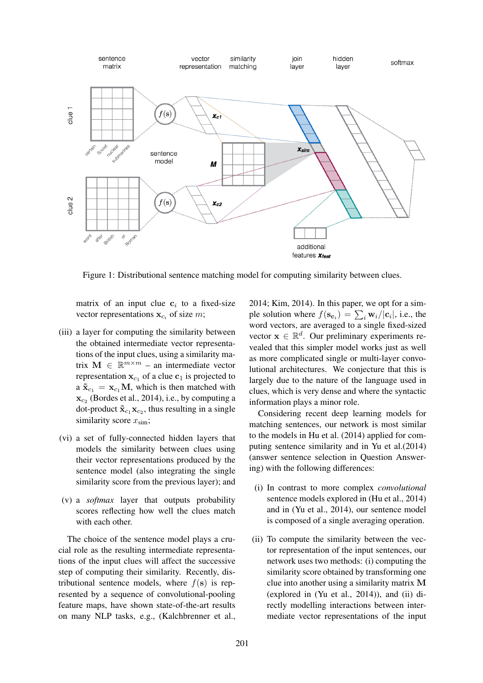

Figure 1: Distributional sentence matching model for computing similarity between clues.

matrix of an input clue  $c_i$  to a fixed-size vector representations  $\mathbf{x}_{c_i}$  of size m;

- (iii) a layer for computing the similarity between the obtained intermediate vector representations of the input clues, using a similarity matrix  $\mathbf{M} \in \mathbb{R}^{m \times m}$  – an intermediate vector representation  $\mathbf{x}_{c_1}$  of a clue  $\mathbf{c}_1$  is projected to a  $\tilde{\mathbf{x}}_{c_1} = \mathbf{x}_{c_1} \mathbf{M}$ , which is then matched with  $\mathbf{x}_{c_2}$  (Bordes et al., 2014), i.e., by computing a dot-product  $\tilde{\mathbf{x}}_{c_1} \mathbf{x}_{c_2}$ , thus resulting in a single similarity score  $x_{\text{sim}}$ ;
- (vi) a set of fully-connected hidden layers that models the similarity between clues using their vector representations produced by the sentence model (also integrating the single similarity score from the previous layer); and
- (v) a *softmax* layer that outputs probability scores reflecting how well the clues match with each other.

The choice of the sentence model plays a crucial role as the resulting intermediate representations of the input clues will affect the successive step of computing their similarity. Recently, distributional sentence models, where  $f(\mathbf{s})$  is represented by a sequence of convolutional-pooling feature maps, have shown state-of-the-art results on many NLP tasks, e.g., (Kalchbrenner et al., 2014; Kim, 2014). In this paper, we opt for a simple solution where  $f(\mathbf{s}_{\mathbf{c}_i}) = \sum_i \mathbf{w}_i/|\mathbf{c}_i|$ , i.e., the word vectors, are averaged to a single fixed-sized vector  $\mathbf{x} \in \mathbb{R}^d$ . Our preliminary experiments revealed that this simpler model works just as well as more complicated single or multi-layer convolutional architectures. We conjecture that this is largely due to the nature of the language used in clues, which is very dense and where the syntactic information plays a minor role.

Considering recent deep learning models for matching sentences, our network is most similar to the models in Hu et al. (2014) applied for computing sentence similarity and in Yu et al.(2014) (answer sentence selection in Question Answering) with the following differences:

- (i) In contrast to more complex *convolutional* sentence models explored in (Hu et al., 2014) and in (Yu et al., 2014), our sentence model is composed of a single averaging operation.
- (ii) To compute the similarity between the vector representation of the input sentences, our network uses two methods: (i) computing the similarity score obtained by transforming one clue into another using a similarity matrix M (explored in (Yu et al., 2014)), and (ii) directly modelling interactions between intermediate vector representations of the input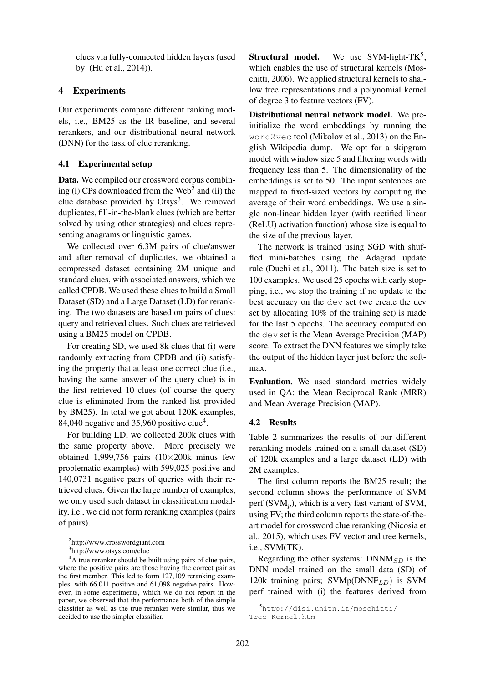clues via fully-connected hidden layers (used by (Hu et al., 2014)).

## 4 Experiments

Our experiments compare different ranking models, i.e., BM25 as the IR baseline, and several rerankers, and our distributional neural network (DNN) for the task of clue reranking.

## 4.1 Experimental setup

Data. We compiled our crossword corpus combining (i) CPs downloaded from the  $Web^2$  and (ii) the clue database provided by  $Otsys<sup>3</sup>$ . We removed duplicates, fill-in-the-blank clues (which are better solved by using other strategies) and clues representing anagrams or linguistic games.

We collected over 6.3M pairs of clue/answer and after removal of duplicates, we obtained a compressed dataset containing 2M unique and standard clues, with associated answers, which we called CPDB. We used these clues to build a Small Dataset (SD) and a Large Dataset (LD) for reranking. The two datasets are based on pairs of clues: query and retrieved clues. Such clues are retrieved using a BM25 model on CPDB.

For creating SD, we used 8k clues that (i) were randomly extracting from CPDB and (ii) satisfying the property that at least one correct clue (i.e., having the same answer of the query clue) is in the first retrieved 10 clues (of course the query clue is eliminated from the ranked list provided by BM25). In total we got about 120K examples, 84,040 negative and  $35,960$  positive clue<sup>4</sup>.

For building LD, we collected 200k clues with the same property above. More precisely we obtained 1,999,756 pairs  $(10\times200k)$  minus few problematic examples) with 599,025 positive and 140,0731 negative pairs of queries with their retrieved clues. Given the large number of examples, we only used such dataset in classification modality, i.e., we did not form reranking examples (pairs of pairs).

**Structural model.** We use SVM-light-TK<sup>5</sup>, which enables the use of structural kernels (Moschitti, 2006). We applied structural kernels to shallow tree representations and a polynomial kernel of degree 3 to feature vectors (FV).

Distributional neural network model. We preinitialize the word embeddings by running the word2vec tool (Mikolov et al., 2013) on the English Wikipedia dump. We opt for a skipgram model with window size 5 and filtering words with frequency less than 5. The dimensionality of the embeddings is set to 50. The input sentences are mapped to fixed-sized vectors by computing the average of their word embeddings. We use a single non-linear hidden layer (with rectified linear (ReLU) activation function) whose size is equal to the size of the previous layer.

The network is trained using SGD with shuffled mini-batches using the Adagrad update rule (Duchi et al., 2011). The batch size is set to 100 examples. We used 25 epochs with early stopping, i.e., we stop the training if no update to the best accuracy on the dev set (we create the dev set by allocating 10% of the training set) is made for the last 5 epochs. The accuracy computed on the dev set is the Mean Average Precision (MAP) score. To extract the DNN features we simply take the output of the hidden layer just before the softmax.

Evaluation. We used standard metrics widely used in QA: the Mean Reciprocal Rank (MRR) and Mean Average Precision (MAP).

#### 4.2 Results

Table 2 summarizes the results of our different reranking models trained on a small dataset (SD) of 120k examples and a large dataset (LD) with 2M examples.

The first column reports the BM25 result; the second column shows the performance of SVM perf (SVM<sub>p</sub>), which is a very fast variant of SVM, using FV; the third column reports the state-of-theart model for crossword clue reranking (Nicosia et al., 2015), which uses FV vector and tree kernels, i.e., SVM(TK).

Regarding the other systems:  $DNNM_{SD}$  is the DNN model trained on the small data (SD) of 120k training pairs;  $SVMp(DNNF_{LD})$  is SVM perf trained with (i) the features derived from

<sup>2</sup> http://www.crosswordgiant.com

<sup>3</sup> http://www.otsys.com/clue

<sup>&</sup>lt;sup>4</sup>A true reranker should be built using pairs of clue pairs, where the positive pairs are those having the correct pair as the first member. This led to form 127,109 reranking examples, with 66,011 positive and 61,098 negative pairs. However, in some experiments, which we do not report in the paper, we observed that the performance both of the simple classifier as well as the true reranker were similar, thus we decided to use the simpler classifier.

<sup>5</sup>http://disi.unitn.it/moschitti/ Tree-Kernel.htm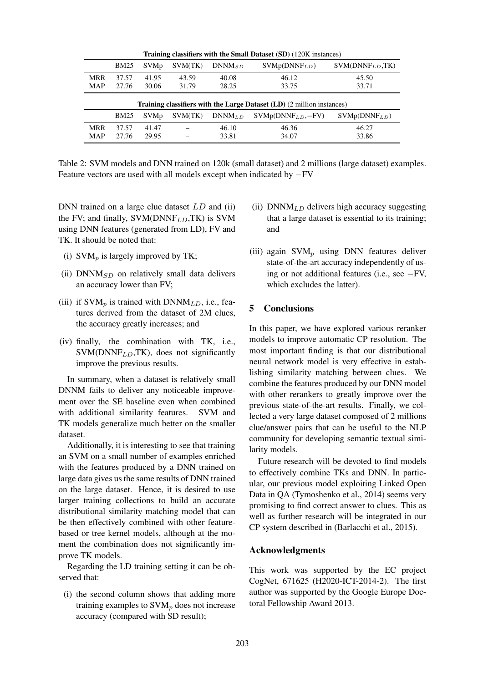| <b>Training classifiers with the Small Dataset (SD) (120K instances)</b>      |                |                        |                |                |                           |                             |  |  |
|-------------------------------------------------------------------------------|----------------|------------------------|----------------|----------------|---------------------------|-----------------------------|--|--|
|                                                                               | <b>BM25</b>    | <b>SVMp</b>            | SVM(TK)        | $DNNM_{SD}$    | SVMp(DNNF <sub>LD</sub> ) | SWM(DNNF <sub>LD</sub> ,TK) |  |  |
| <b>MRR</b><br>MAP                                                             | 37.57<br>27.76 | 41.95<br>30.06         | 43.59<br>31.79 | 40.08<br>28.25 | 46.12<br>33.75            | 45.50<br>33.71              |  |  |
| <b>Training classifiers with the Large Dataset (LD) (2 million instances)</b> |                |                        |                |                |                           |                             |  |  |
|                                                                               | <b>BM25</b>    | <b>SVM<sub>p</sub></b> | SVM(TK)        | $DNNM_{LD}$    | $SVMp(DNNFLD, -FV)$       | $SVMp(DNNF_{LD})$           |  |  |
| <b>MRR</b><br>MAP                                                             | 37.57<br>27.76 | 41.47<br>29.95         |                | 46.10<br>33.81 | 46.36<br>34.07            | 46.27<br>33.86              |  |  |

Table 2: SVM models and DNN trained on 120k (small dataset) and 2 millions (large dataset) examples. Feature vectors are used with all models except when indicated by −FV

DNN trained on a large clue dataset LD and (ii) the FV; and finally,  $SVM(DNNF_{LD},TK)$  is SVM using DNN features (generated from LD), FV and TK. It should be noted that:

- (i)  $SVM_p$  is largely improved by TK;
- (ii)  $DNNM_{SD}$  on relatively small data delivers an accuracy lower than FV;
- (iii) if  $SVM_n$  is trained with  $DNNM_{LD}$ , i.e., features derived from the dataset of 2M clues, the accuracy greatly increases; and
- (iv) finally, the combination with TK, i.e.,  $SVM(DNNF<sub>L,D</sub>,TK)$ , does not significantly improve the previous results.

In summary, when a dataset is relatively small DNNM fails to deliver any noticeable improvement over the SE baseline even when combined with additional similarity features. SVM and TK models generalize much better on the smaller dataset.

Additionally, it is interesting to see that training an SVM on a small number of examples enriched with the features produced by a DNN trained on large data gives us the same results of DNN trained on the large dataset. Hence, it is desired to use larger training collections to build an accurate distributional similarity matching model that can be then effectively combined with other featurebased or tree kernel models, although at the moment the combination does not significantly improve TK models.

Regarding the LD training setting it can be observed that:

(i) the second column shows that adding more training examples to  $\text{SVM}_p$  does not increase accuracy (compared with SD result);

- (ii)  $DNNM_{LD}$  delivers high accuracy suggesting that a large dataset is essential to its training; and
- (iii) again  $SVM_p$  using DNN features deliver state-of-the-art accuracy independently of using or not additional features (i.e., see −FV, which excludes the latter).

## 5 Conclusions

In this paper, we have explored various reranker models to improve automatic CP resolution. The most important finding is that our distributional neural network model is very effective in establishing similarity matching between clues. We combine the features produced by our DNN model with other rerankers to greatly improve over the previous state-of-the-art results. Finally, we collected a very large dataset composed of 2 millions clue/answer pairs that can be useful to the NLP community for developing semantic textual similarity models.

Future research will be devoted to find models to effectively combine TKs and DNN. In particular, our previous model exploiting Linked Open Data in QA (Tymoshenko et al., 2014) seems very promising to find correct answer to clues. This as well as further research will be integrated in our CP system described in (Barlacchi et al., 2015).

## Acknowledgments

This work was supported by the EC project CogNet, 671625 (H2020-ICT-2014-2). The first author was supported by the Google Europe Doctoral Fellowship Award 2013.